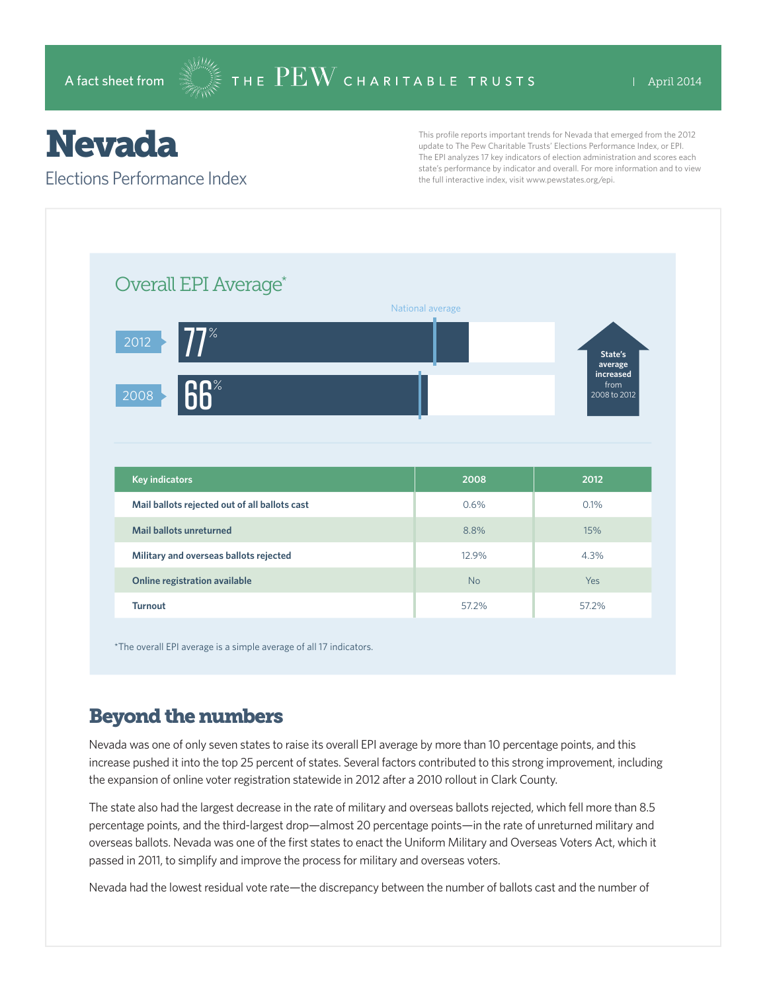## Nevada

Elections Performance Index

This profile reports important trends for Nevada that emerged from the 2012 update to The Pew Charitable Trusts' Elections Performance Index, or EPI. The EPI analyzes 17 key indicators of election administration and scores each state's performance by indicator and overall. For more information and to view the full interactive index, visit www.pewstates.org/epi.

| Overall EPI Average*                          |                  |                                   |
|-----------------------------------------------|------------------|-----------------------------------|
|                                               | National average |                                   |
| $77^\circ$<br>2012                            |                  | State's<br>average                |
| <b>66%</b><br>2008                            |                  | increased<br>from<br>2008 to 2012 |
|                                               |                  |                                   |
|                                               |                  |                                   |
|                                               |                  |                                   |
| <b>Key indicators</b>                         | 2008             | 2012                              |
| Mail ballots rejected out of all ballots cast | 0.6%             | 0.1%                              |
| <b>Mail ballots unreturned</b>                | 8.8%             | 15%                               |
| Military and overseas ballots rejected        | 12.9%            | 4.3%                              |

\*The overall EPI average is a simple average of all 17 indicators.

## Beyond the numbers

Nevada was one of only seven states to raise its overall EPI average by more than 10 percentage points, and this increase pushed it into the top 25 percent of states. Several factors contributed to this strong improvement, including the expansion of online voter registration statewide in 2012 after a 2010 rollout in Clark County.

The state also had the largest decrease in the rate of military and overseas ballots rejected, which fell more than 8.5 percentage points, and the third-largest drop—almost 20 percentage points—in the rate of unreturned military and overseas ballots. Nevada was one of the first states to enact the Uniform Military and Overseas Voters Act, which it passed in 2011, to simplify and improve the process for military and overseas voters.

Nevada had the lowest residual vote rate—the discrepancy between the number of ballots cast and the number of